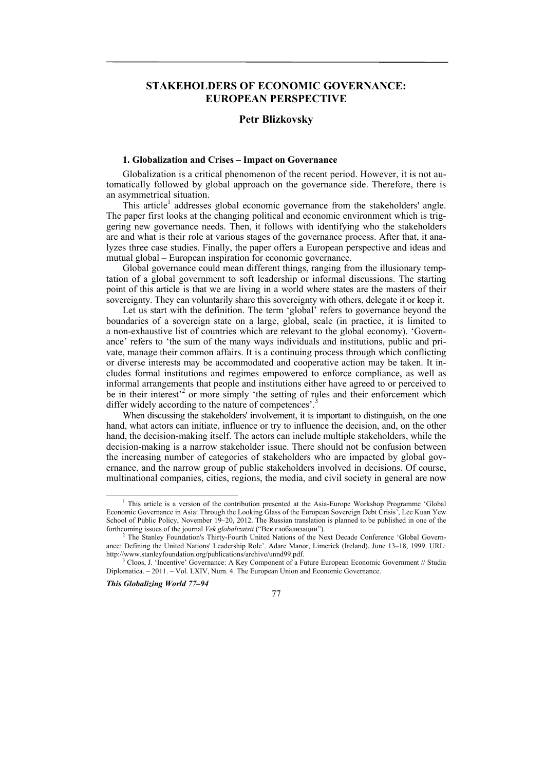# **STAKEHOLDERS OF ECONOMIC GOVERNANCE: EUROPEAN PERSPECTIVE**

# **Petr Blizkovsky**

## **1. Globalization and Crises – Impact on Governance**

Globalization is a critical phenomenon of the recent period. However, it is not automatically followed by global approach on the governance side. Therefore, there is an asymmetrical situation.

This article<sup>1</sup> addresses global economic governance from the stakeholders' angle. The paper first looks at the changing political and economic environment which is triggering new governance needs. Then, it follows with identifying who the stakeholders are and what is their role at various stages of the governance process. After that, it analyzes three case studies. Finally, the paper offers a European perspective and ideas and mutual global – European inspiration for economic governance.

Global governance could mean different things, ranging from the illusionary temptation of a global government to soft leadership or informal discussions. The starting point of this article is that we are living in a world where states are the masters of their sovereignty. They can voluntarily share this sovereignty with others, delegate it or keep it.

Let us start with the definition. The term 'global' refers to governance beyond the boundaries of a sovereign state on a large, global, scale (in practice, it is limited to a non-exhaustive list of countries which are relevant to the global economy). 'Governance' refers to 'the sum of the many ways individuals and institutions, public and private, manage their common affairs. It is a continuing process through which conflicting or diverse interests may be accommodated and cooperative action may be taken. It includes formal institutions and regimes empowered to enforce compliance, as well as informal arrangements that people and institutions either have agreed to or perceived to be in their interest<sup> $2$ </sup> or more simply 'the setting of rules and their enforcement which differ widely according to the nature of competences'.<sup>3</sup>

When discussing the stakeholders' involvement, it is important to distinguish, on the one hand, what actors can initiate, influence or try to influence the decision, and, on the other hand, the decision-making itself. The actors can include multiple stakeholders, while the decision-making is a narrow stakeholder issue. There should not be confusion between the increasing number of categories of stakeholders who are impacted by global governance, and the narrow group of public stakeholders involved in decisions. Of course, multinational companies, cities, regions, the media, and civil society in general are now

*This Globalizing World 77–94* 

77

 $\overline{1}$ <sup>1</sup> This article is a version of the contribution presented at the Asia-Europe Workshop Programme 'Global Economic Governance in Asia: Through the Looking Glass of the European Sovereign Debt Crisis', Lee Kuan Yew School of Public Policy, November 19–20, 2012. The Russian translation is planned to be published in one of the forthcoming issues of the journal *Vek globalizatsii* ("Век глобализации"). 2

<sup>&</sup>lt;sup>2</sup> The Stanley Foundation's Thirty-Fourth United Nations of the Next Decade Conference 'Global Governance: Defining the United Nations' Leadership Role'. Adare Manor, Limerick (Ireland), June 13–18, 1999. URL: http://www.stanleyfoundation.org/publications/archive/unnd99.pdf. 3

<sup>&</sup>lt;sup>3</sup> Cloos, J. 'Incentive' Governance: A Key Component of a Future European Economic Government // Studia Diplomatica. – 2011. – Vol. LXIV, Num. 4. The European Union and Economic Governance.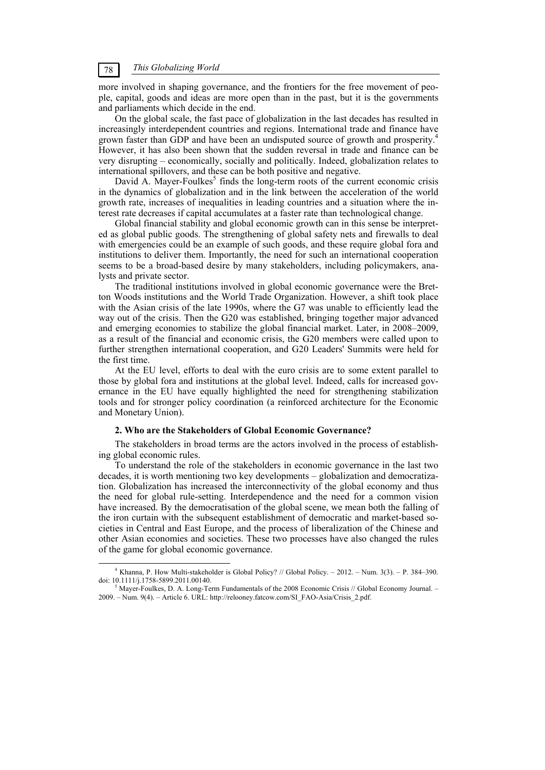more involved in shaping governance, and the frontiers for the free movement of people, capital, goods and ideas are more open than in the past, but it is the governments and parliaments which decide in the end.

On the global scale, the fast pace of globalization in the last decades has resulted in increasingly interdependent countries and regions. International trade and finance have grown faster than GDP and have been an undisputed source of growth and prosperity.4 However, it has also been shown that the sudden reversal in trade and finance can be very disrupting – economically, socially and politically. Indeed, globalization relates to international spillovers, and these can be both positive and negative.

David A. Mayer-Foulkes<sup>5</sup> finds the long-term roots of the current economic crisis in the dynamics of globalization and in the link between the acceleration of the world growth rate, increases of inequalities in leading countries and a situation where the interest rate decreases if capital accumulates at a faster rate than technological change.

Global financial stability and global economic growth can in this sense be interpreted as global public goods. The strengthening of global safety nets and firewalls to deal with emergencies could be an example of such goods, and these require global fora and institutions to deliver them. Importantly, the need for such an international cooperation seems to be a broad-based desire by many stakeholders, including policymakers, analysts and private sector.

The traditional institutions involved in global economic governance were the Bretton Woods institutions and the World Trade Organization. However, a shift took place with the Asian crisis of the late 1990s, where the G7 was unable to efficiently lead the way out of the crisis. Then the G20 was established, bringing together major advanced and emerging economies to stabilize the global financial market. Later, in 2008–2009, as a result of the financial and economic crisis, the G20 members were called upon to further strengthen international cooperation, and G20 Leaders' Summits were held for the first time.

At the EU level, efforts to deal with the euro crisis are to some extent parallel to those by global fora and institutions at the global level. Indeed, calls for increased governance in the EU have equally highlighted the need for strengthening stabilization tools and for stronger policy coordination (a reinforced architecture for the Economic and Monetary Union).

### **2. Who are the Stakeholders of Global Economic Governance?**

The stakeholders in broad terms are the actors involved in the process of establishing global economic rules.

To understand the role of the stakeholders in economic governance in the last two decades, it is worth mentioning two key developments – globalization and democratization. Globalization has increased the interconnectivity of the global economy and thus the need for global rule-setting. Interdependence and the need for a common vision have increased. By the democratisation of the global scene, we mean both the falling of the iron curtain with the subsequent establishment of democratic and market-based societies in Central and East Europe, and the process of liberalization of the Chinese and other Asian economies and societies. These two processes have also changed the rules of the game for global economic governance.

 $\frac{1}{4}$  Khanna, P. How Multi-stakeholder is Global Policy? // Global Policy. – 2012. – Num. 3(3). – P. 384–390. doi: 10.1111/j.1758-5899.2011.00140. 5

 $<sup>5</sup>$  Mayer-Foulkes, D. A. Long-Term Fundamentals of the 2008 Economic Crisis // Global Economy Journal. –</sup> 2009. – Num. 9(4). – Article 6. URL: http://relooney.fatcow.com/SI\_FAO-Asia/Crisis\_2.pdf.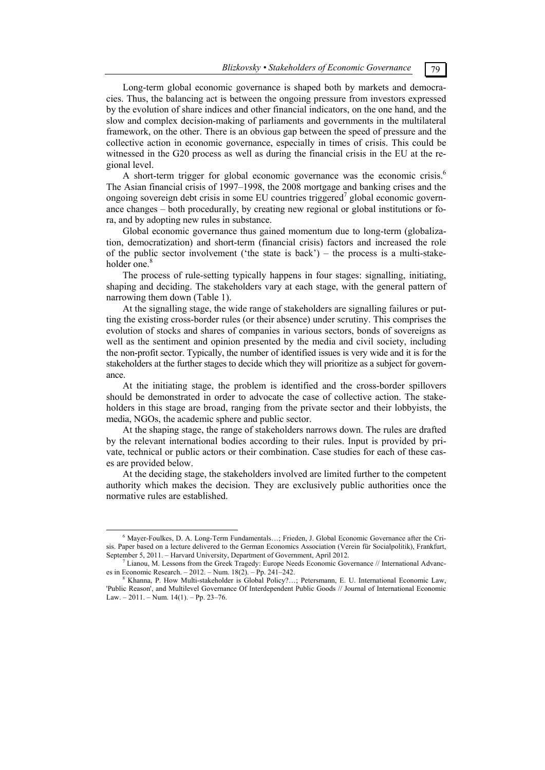Long-term global economic governance is shaped both by markets and democracies. Thus, the balancing act is between the ongoing pressure from investors expressed by the evolution of share indices and other financial indicators, on the one hand, and the slow and complex decision-making of parliaments and governments in the multilateral framework, on the other. There is an obvious gap between the speed of pressure and the collective action in economic governance, especially in times of crisis. This could be witnessed in the G20 process as well as during the financial crisis in the EU at the regional level.

A short-term trigger for global economic governance was the economic crisis.<sup>6</sup> The Asian financial crisis of 1997–1998, the 2008 mortgage and banking crises and the ongoing sovereign debt crisis in some EU countries triggered<sup>7</sup> global economic governance changes – both procedurally, by creating new regional or global institutions or fora, and by adopting new rules in substance.

Global economic governance thus gained momentum due to long-term (globalization, democratization) and short-term (financial crisis) factors and increased the role of the public sector involvement ('the state is back') – the process is a multi-stakeholder one.<sup>8</sup>

The process of rule-setting typically happens in four stages: signalling, initiating, shaping and deciding. The stakeholders vary at each stage, with the general pattern of narrowing them down (Table 1).

At the signalling stage, the wide range of stakeholders are signalling failures or putting the existing cross-border rules (or their absence) under scrutiny. This comprises the evolution of stocks and shares of companies in various sectors, bonds of sovereigns as well as the sentiment and opinion presented by the media and civil society, including the non-profit sector. Typically, the number of identified issues is very wide and it is for the stakeholders at the further stages to decide which they will prioritize as a subject for governance.

At the initiating stage, the problem is identified and the cross-border spillovers should be demonstrated in order to advocate the case of collective action. The stakeholders in this stage are broad, ranging from the private sector and their lobbyists, the media, NGOs, the academic sphere and public sector.

At the shaping stage, the range of stakeholders narrows down. The rules are drafted by the relevant international bodies according to their rules. Input is provided by private, technical or public actors or their combination. Case studies for each of these cases are provided below.

At the deciding stage, the stakeholders involved are limited further to the competent authority which makes the decision. They are exclusively public authorities once the normative rules are established.

 $\overline{6}$  Mayer-Foulkes, D. A. Long-Term Fundamentals…; Frieden, J. Global Economic Governance after the Crisis. Paper based on a lecture delivered to the German Economics Association (Verein für Socialpolitik), Frankfurt, September 5, 2011. – Harvard University, Department of Government, April 2012.

 $^7$  Lianou, M. Lessons from the Greek Tragedy: Europe Needs Economic Governance // International Advances in Economic Research. – 2012. – Num.  $18(2)$ . – Pp. 241–242.

Khanna, P. How Multi-stakeholder is Global Policy?…; Petersmann, E. U. International Economic Law, 'Public Reason', and Multilevel Governance Of Interdependent Public Goods // Journal of International Economic Law. – 2011. – Num. 14(1). – Pp. 23–76.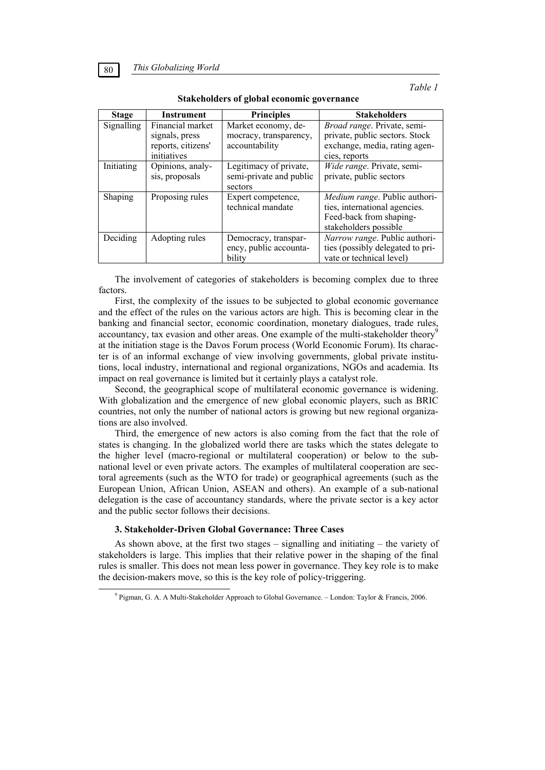| <b>Stage</b>      | Instrument         | <b>Principles</b>       | <b>Stakeholders</b>              |
|-------------------|--------------------|-------------------------|----------------------------------|
| Signalling        | Financial market   | Market economy, de-     | Broad range. Private, semi-      |
|                   | signals, press     | mocracy, transparency,  | private, public sectors. Stock   |
|                   | reports, citizens' | accountability          | exchange, media, rating agen-    |
|                   | initiatives        |                         | cies, reports                    |
| <b>Initiating</b> | Opinions, analy-   | Legitimacy of private,  | Wide range. Private, semi-       |
|                   | sis, proposals     | semi-private and public | private, public sectors          |
|                   |                    | sectors                 |                                  |
| Shaping           | Proposing rules    | Expert competence,      | Medium range. Public authori-    |
|                   |                    | technical mandate       | ties, international agencies.    |
|                   |                    |                         | Feed-back from shaping-          |
|                   |                    |                         | stakeholders possible            |
| Deciding          | Adopting rules     | Democracy, transpar-    | Narrow range. Public authori-    |
|                   |                    | ency, public accounta-  | ties (possibly delegated to pri- |
|                   |                    | bility                  | vate or technical level)         |

**Stakeholders of global economic governance** 

The involvement of categories of stakeholders is becoming complex due to three factors.

First, the complexity of the issues to be subjected to global economic governance and the effect of the rules on the various actors are high. This is becoming clear in the banking and financial sector, economic coordination, monetary dialogues, trade rules, accountancy, tax evasion and other areas. One example of the multi-stakeholder theory at the initiation stage is the Davos Forum process (World Economic Forum). Its character is of an informal exchange of view involving governments, global private institutions, local industry, international and regional organizations, NGOs and academia. Its impact on real governance is limited but it certainly plays a catalyst role.

Second, the geographical scope of multilateral economic governance is widening. With globalization and the emergence of new global economic players, such as BRIC countries, not only the number of national actors is growing but new regional organizations are also involved.

Third, the emergence of new actors is also coming from the fact that the role of states is changing. In the globalized world there are tasks which the states delegate to the higher level (macro-regional or multilateral cooperation) or below to the subnational level or even private actors. The examples of multilateral cooperation are sectoral agreements (such as the WTO for trade) or geographical agreements (such as the European Union, African Union, ASEAN and others). An example of a sub-national delegation is the case of accountancy standards, where the private sector is a key actor and the public sector follows their decisions.

## **3. Stakeholder-Driven Global Governance: Three Cases**

As shown above, at the first two stages – signalling and initiating – the variety of stakeholders is large. This implies that their relative power in the shaping of the final rules is smaller. This does not mean less power in governance. They key role is to make the decision-makers move, so this is the key role of policy-triggering.

 $\frac{1}{9}$ Pigman, G. A. A Multi-Stakeholder Approach to Global Governance. – London: Taylor & Francis, 2006.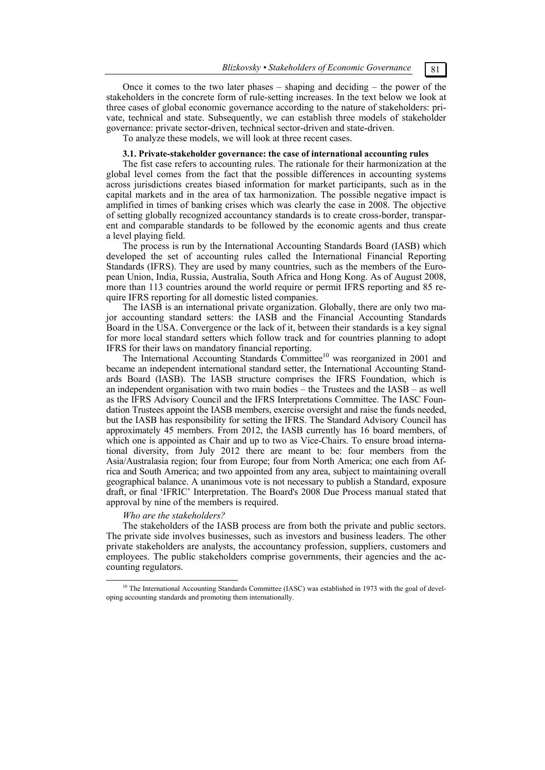Once it comes to the two later phases – shaping and deciding – the power of the stakeholders in the concrete form of rule-setting increases. In the text below we look at three cases of global economic governance according to the nature of stakeholders: private, technical and state. Subsequently, we can establish three models of stakeholder governance: private sector-driven, technical sector-driven and state-driven.

To analyze these models, we will look at three recent cases.

## **3.1. Private-stakeholder governance: the case of international accounting rules**

The fist case refers to accounting rules. The rationale for their harmonization at the global level comes from the fact that the possible differences in accounting systems across jurisdictions creates biased information for market participants, such as in the capital markets and in the area of tax harmonization. The possible negative impact is amplified in times of banking crises which was clearly the case in 2008. The objective of setting globally recognized accountancy standards is to create cross-border, transparent and comparable standards to be followed by the economic agents and thus create a level playing field.

The process is run by the International Accounting Standards Board (IASB) which developed the set of accounting rules called the International Financial Reporting Standards (IFRS). They are used by many countries, such as the members of the European Union, India, Russia, Australia, South Africa and Hong Kong. As of August 2008, more than 113 countries around the world require or permit IFRS reporting and 85 require IFRS reporting for all domestic listed companies.

The IASB is an international private organization. Globally, there are only two major accounting standard setters: the IASB and the Financial Accounting Standards Board in the USA. Convergence or the lack of it, between their standards is a key signal for more local standard setters which follow track and for countries planning to adopt IFRS for their laws on mandatory financial reporting.

The International Accounting Standards Committee<sup>10</sup> was reorganized in 2001 and became an independent international standard setter, the International Accounting Standards Board (IASB). The IASB structure comprises the IFRS Foundation, which is an independent organisation with two main bodies – the Trustees and the IASB – as well as the IFRS Advisory Council and the IFRS Interpretations Committee. The IASC Foundation Trustees appoint the IASB members, exercise oversight and raise the funds needed, but the IASB has responsibility for setting the IFRS. The Standard Advisory Council has approximately 45 members. From 2012, the IASB currently has 16 board members, of which one is appointed as Chair and up to two as Vice-Chairs. To ensure broad international diversity, from July 2012 there are meant to be: four members from the Asia/Australasia region; four from Europe; four from North America; one each from Africa and South America; and two appointed from any area, subject to maintaining overall geographical balance. A unanimous vote is not necessary to publish a Standard, exposure draft, or final 'IFRIC' Interpretation. The Board's 2008 Due Process manual stated that approval by nine of the members is required.

## *Who are the stakeholders?*

The stakeholders of the IASB process are from both the private and public sectors. The private side involves businesses, such as investors and business leaders. The other private stakeholders are analysts, the accountancy profession, suppliers, customers and employees. The public stakeholders comprise governments, their agencies and the accounting regulators.

 $10$  The International Accounting Standards Committee (IASC) was established in 1973 with the goal of developing accounting standards and promoting them internationally.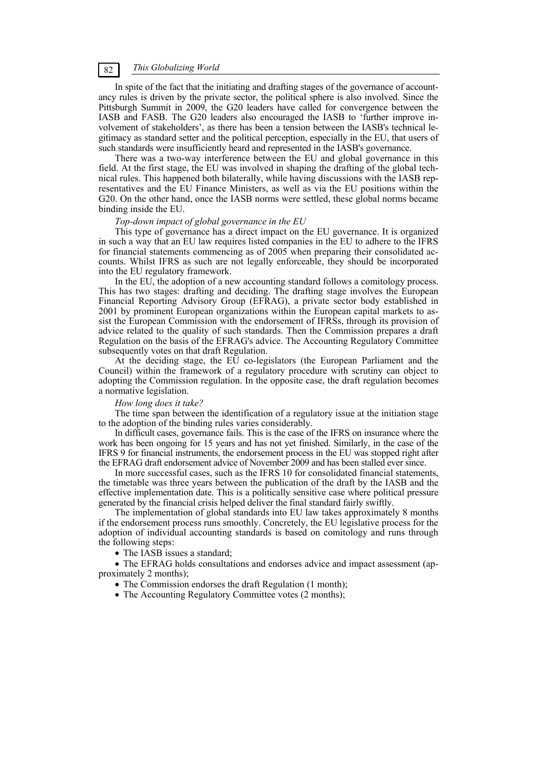In spite of the fact that the initiating and drafting stages of the governance of accountancy rules is driven by the private sector, the political sphere is also involved. Since the Pittsburgh Summit in 2009, the G20 leaders have called for convergence between the IASB and FASB. The G20 leaders also encouraged the IASB to 'further improve involvement of stakeholders', as there has been a tension between the IASB's technical legitimacy as standard setter and the political perception, especially in the EU, that users of such standards were insufficiently heard and represented in the IASB's governance.

There was a two-way interference between the EU and global governance in this field. At the first stage, the EU was involved in shaping the drafting of the global technical rules. This happened both bilaterally, while having discussions with the IASB representatives and the EU Finance Ministers, as well as via the EU positions within the G20. On the other hand, once the IASB norms were settled, these global norms became binding inside the EU.

#### *Top-down impact of global governance in the EU*

This type of governance has a direct impact on the EU governance. It is organized in such a way that an EU law requires listed companies in the EU to adhere to the IFRS for financial statements commencing as of 2005 when preparing their consolidated accounts. Whilst IFRS as such are not legally enforceable, they should be incorporated into the EU regulatory framework.

In the EU, the adoption of a new accounting standard follows a comitology process. This has two stages: drafting and deciding. The drafting stage involves the European Financial Reporting Advisory Group (EFRAG), a private sector body established in 2001 by prominent European organizations within the European capital markets to assist the European Commission with the endorsement of IFRSs, through its provision of advice related to the quality of such standards. Then the Commission prepares a draft Regulation on the basis of the EFRAG's advice. The Accounting Regulatory Committee subsequently votes on that draft Regulation.

At the deciding stage, the EU co-legislators (the European Parliament and the Council) within the framework of a regulatory procedure with scrutiny can object to adopting the Commission regulation. In the opposite case, the draft regulation becomes a normative legislation.

#### *How long does it take?*

The time span between the identification of a regulatory issue at the initiation stage to the adoption of the binding rules varies considerably.

In difficult cases, governance fails. This is the case of the IFRS on insurance where the work has been ongoing for 15 years and has not yet finished. Similarly, in the case of the IFRS 9 for financial instruments, the endorsement process in the EU was stopped right after the EFRAG draft endorsement advice of November 2009 and has been stalled ever since.

In more successful cases, such as the IFRS 10 for consolidated financial statements, the timetable was three years between the publication of the draft by the IASB and the effective implementation date. This is a politically sensitive case where political pressure generated by the financial crisis helped deliver the final standard fairly swiftly.

The implementation of global standards into EU law takes approximately 8 months if the endorsement process runs smoothly. Concretely, the EU legislative process for the adoption of individual accounting standards is based on comitology and runs through the following steps:

• The IASB issues a standard;

 The EFRAG holds consultations and endorses advice and impact assessment (approximately 2 months);

- The Commission endorses the draft Regulation (1 month);
- The Accounting Regulatory Committee votes (2 months);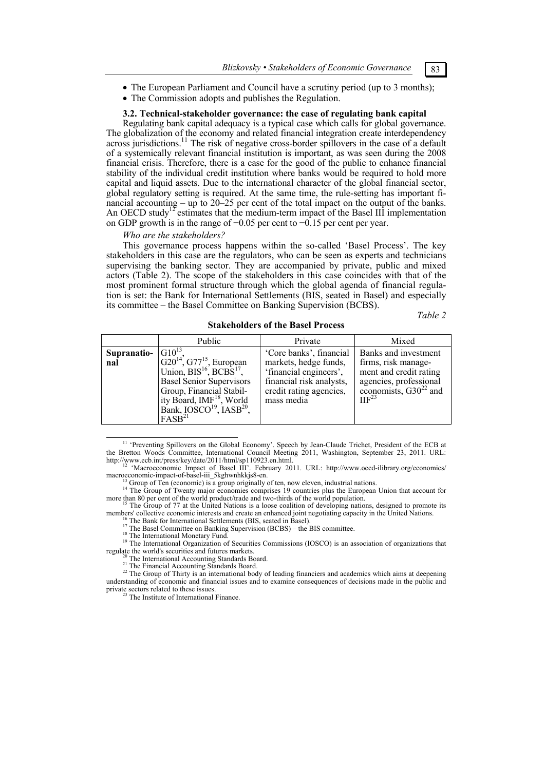- The European Parliament and Council have a scrutiny period (up to 3 months);
- The Commission adopts and publishes the Regulation.

#### **3.2. Technical-stakeholder governance: the case of regulating bank capital**

Regulating bank capital adequacy is a typical case which calls for global governance. The globalization of the economy and related financial integration create interdependency across jurisdictions.<sup>11</sup> The risk of negative cross-border spillovers in the case of a default of a systemically relevant financial institution is important, as was seen during the 2008 financial crisis. Therefore, there is a case for the good of the public to enhance financial stability of the individual credit institution where banks would be required to hold more capital and liquid assets. Due to the international character of the global financial sector, global regulatory setting is required. At the same time, the rule-setting has important financial accounting – up to 20–25 per cent of the total impact on the output of the banks. An OECD study<sup>12</sup> estimates that the medium-term impact of the Basel III implementation on GDP growth is in the range of −0.05 per cent to −0.15 per cent per year.

#### *Who are the stakeholders?*

This governance process happens within the so-called 'Basel Process'. The key stakeholders in this case are the regulators, who can be seen as experts and technicians supervising the banking sector. They are accompanied by private, public and mixed actors (Table 2). The scope of the stakeholders in this case coincides with that of the most prominent formal structure through which the global agenda of financial regulation is set: the Bank for International Settlements (BIS, seated in Basel) and especially its committee – the Basel Committee on Banking Supervision (BCBS).

*Table 2* 

|                    | Public                                                                                                                                                                                                                                                                 | Private                                                                                                                                         | Mixed                                                                                                                                         |
|--------------------|------------------------------------------------------------------------------------------------------------------------------------------------------------------------------------------------------------------------------------------------------------------------|-------------------------------------------------------------------------------------------------------------------------------------------------|-----------------------------------------------------------------------------------------------------------------------------------------------|
| Supranatio-<br>nal | $G10^{13}$<br>$G20^{14}$ , $G77^{15}$ , European<br>Union, $BIS^{16}$ , $BCBS^{17}$ ,<br><b>Basel Senior Supervisors</b><br>Group, Financial Stabil-<br>ity Board, IMF <sup>18</sup> , World<br>Bank, IOSCO <sup>19</sup> , IASB <sup>20</sup> ,<br>FASB <sup>21</sup> | 'Core banks', financial<br>markets, hedge funds,<br>'financial engineers',<br>financial risk analysts,<br>credit rating agencies,<br>mass media | Banks and investment<br>firms, risk manage-<br>ment and credit rating<br>agencies, professional<br>economists, $G30^{22}$ and<br>$\Pi F^{23}$ |

**Stakeholders of the Basel Process** 

 11 'Preventing Spillovers on the Global Economy'. Speech by Jean-Claude Trichet, President of the ECB at the Bretton Woods Committee, International Council Meeting 2011, Washington, September 23, 2011. URL:

http://www.ecb.int/press/key/date/2011/html/sp110923.en.html.<br><sup>12</sup> 'Macroeconomic Impact of Basel III'. February 2011. URL: http://www.oecd-ilibrary.org/economics/<br>macroeconomic-impact-of-basel-iii\_5kghwnhkkjs8-en.

<sup>13</sup> Group of Ten (economic) is a group originally of ten, now eleven, industrial nations.<br><sup>13</sup> Group of Ten (economic) is a group originally of ten, now eleven, industrial nations.<br><sup>14</sup> The Group of Twenty major economies

more than 80 per cent of the world product/trade and two-thirds of the world population.<br><sup>15</sup> The Group of 77 at the United Nations is a loose coalition of developing nations, designed to promote its<br>members' collective ec

<sup>16</sup> The Bank for International Settlements (BIS, seated in Basel).<br><sup>17</sup> The Basel Committee on Banking Supervision (BCBS) – the BIS committee.<br><sup>18</sup> The International Monetary Fund.<br><sup>19</sup> The International Organization of

<sup>20</sup> The International Accounting Standards Board.<br><sup>21</sup> The Financial Accounting Standards Board.<br><sup>22</sup> The Group of Thirty is an international body of leading financiers and academics which aims at deepening understanding of economic and financial issues and to examine consequences of decisions made in the public and

 $\frac{23}{23}$  The Institute of International Finance.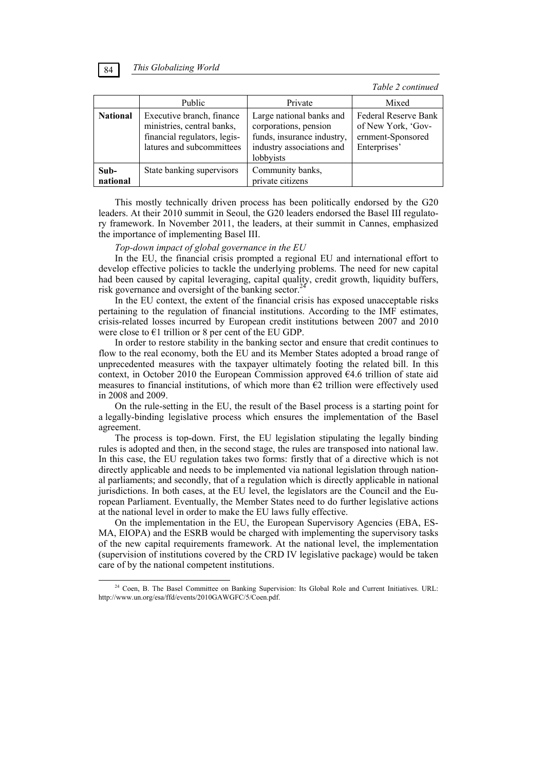*Table 2 continued* 

|                  | Public                                                                                                               | Private                                                                                                                   | Mixed                                                                           |
|------------------|----------------------------------------------------------------------------------------------------------------------|---------------------------------------------------------------------------------------------------------------------------|---------------------------------------------------------------------------------|
| <b>National</b>  | Executive branch, finance<br>ministries, central banks,<br>financial regulators, legis-<br>latures and subcommittees | Large national banks and<br>corporations, pension<br>funds, insurance industry,<br>industry associations and<br>lobbyists | Federal Reserve Bank<br>of New York, 'Gov-<br>ernment-Sponsored<br>Enterprises' |
| Sub-<br>national | State banking supervisors                                                                                            | Community banks,<br>private citizens                                                                                      |                                                                                 |

This mostly technically driven process has been politically endorsed by the G20 leaders. At their 2010 summit in Seoul, the G20 leaders endorsed the Basel III regulatory framework. In November 2011, the leaders, at their summit in Cannes, emphasized the importance of implementing Basel III.

*Top-down impact of global governance in the EU* 

In the EU, the financial crisis prompted a regional EU and international effort to develop effective policies to tackle the underlying problems. The need for new capital had been caused by capital leveraging, capital quality, credit growth, liquidity buffers, risk governance and oversight of the banking sector.<sup>24</sup>

In the EU context, the extent of the financial crisis has exposed unacceptable risks pertaining to the regulation of financial institutions. According to the IMF estimates, crisis-related losses incurred by European credit institutions between 2007 and 2010 were close to  $E1$  trillion or 8 per cent of the EU GDP.

In order to restore stability in the banking sector and ensure that credit continues to flow to the real economy, both the EU and its Member States adopted a broad range of unprecedented measures with the taxpayer ultimately footing the related bill. In this context, in October 2010 the European Commission approved €4.6 trillion of state aid measures to financial institutions, of which more than  $\epsilon$ 2 trillion were effectively used in 2008 and 2009.

On the rule-setting in the EU, the result of the Basel process is a starting point for a legally-binding legislative process which ensures the implementation of the Basel agreement.

The process is top-down. First, the EU legislation stipulating the legally binding rules is adopted and then, in the second stage, the rules are transposed into national law. In this case, the EU regulation takes two forms: firstly that of a directive which is not directly applicable and needs to be implemented via national legislation through national parliaments; and secondly, that of a regulation which is directly applicable in national jurisdictions. In both cases, at the EU level, the legislators are the Council and the European Parliament. Eventually, the Member States need to do further legislative actions at the national level in order to make the EU laws fully effective.

On the implementation in the EU, the European Supervisory Agencies (EBA, ES-MA, EIOPA) and the ESRB would be charged with implementing the supervisory tasks of the new capital requirements framework. At the national level, the implementation (supervision of institutions covered by the CRD IV legislative package) would be taken care of by the national competent institutions.



<sup>&</sup>lt;sup>24</sup> Coen, B. The Basel Committee on Banking Supervision: Its Global Role and Current Initiatives. URL: http://www.un.org/esa/ffd/events/2010GAWGFC/5/Coen.pdf.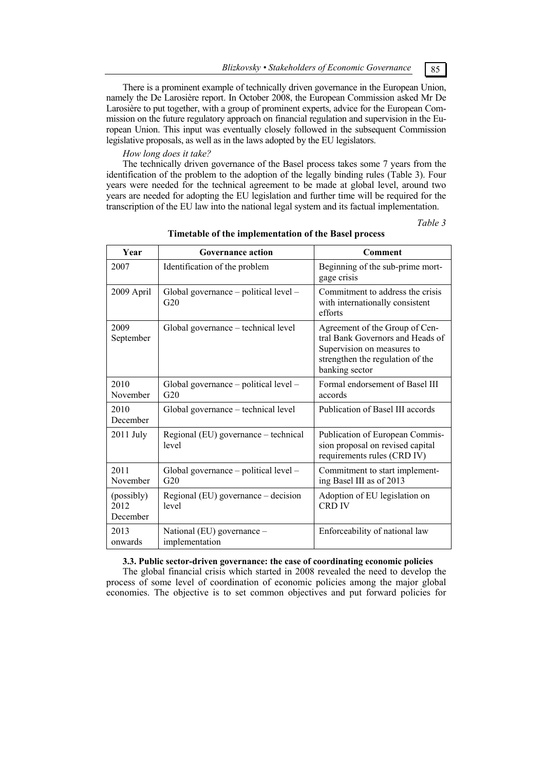There is a prominent example of technically driven governance in the European Union, namely the De Larosière report. In October 2008, the European Commission asked Mr De Larosière to put together, with a group of prominent experts, advice for the European Commission on the future regulatory approach on financial regulation and supervision in the European Union. This input was eventually closely followed in the subsequent Commission legislative proposals, as well as in the laws adopted by the EU legislators.

## *How long does it take?*

The technically driven governance of the Basel process takes some 7 years from the identification of the problem to the adoption of the legally binding rules (Table 3). Four years were needed for the technical agreement to be made at global level, around two years are needed for adopting the EU legislation and further time will be required for the transcription of the EU law into the national legal system and its factual implementation.

*Table 3* 

| Year                           | <b>Governance action</b>                         | <b>Comment</b>                                                                                                                                         |
|--------------------------------|--------------------------------------------------|--------------------------------------------------------------------------------------------------------------------------------------------------------|
| 2007                           | Identification of the problem                    | Beginning of the sub-prime mort-<br>gage crisis                                                                                                        |
| 2009 April                     | Global governance $-$ political level $-$<br>G20 | Commitment to address the crisis<br>with internationally consistent<br>efforts                                                                         |
| 2009<br>September              | Global governance – technical level              | Agreement of the Group of Cen-<br>tral Bank Governors and Heads of<br>Supervision on measures to<br>strengthen the regulation of the<br>banking sector |
| 2010<br>November               | Global governance $-$ political level $-$<br>G20 | Formal endorsement of Basel III<br>accords                                                                                                             |
| 2010<br>December               | Global governance – technical level              | Publication of Basel III accords                                                                                                                       |
| $2011$ July                    | Regional (EU) governance – technical<br>level    | Publication of European Commis-<br>sion proposal on revised capital<br>requirements rules (CRD IV)                                                     |
| 2011<br>November               | Global governance - political level -<br>G20     | Commitment to start implement-<br>ing Basel III as of 2013                                                                                             |
| (possibly)<br>2012<br>December | Regional (EU) governance - decision<br>level     | Adoption of EU legislation on<br><b>CRD IV</b>                                                                                                         |
| 2013<br>onwards                | National (EU) governance –<br>implementation     | Enforceability of national law                                                                                                                         |

## **Timetable of the implementation of the Basel process**

## **3.3. Public sector-driven governance: the case of coordinating economic policies**

The global financial crisis which started in 2008 revealed the need to develop the process of some level of coordination of economic policies among the major global economies. The objective is to set common objectives and put forward policies for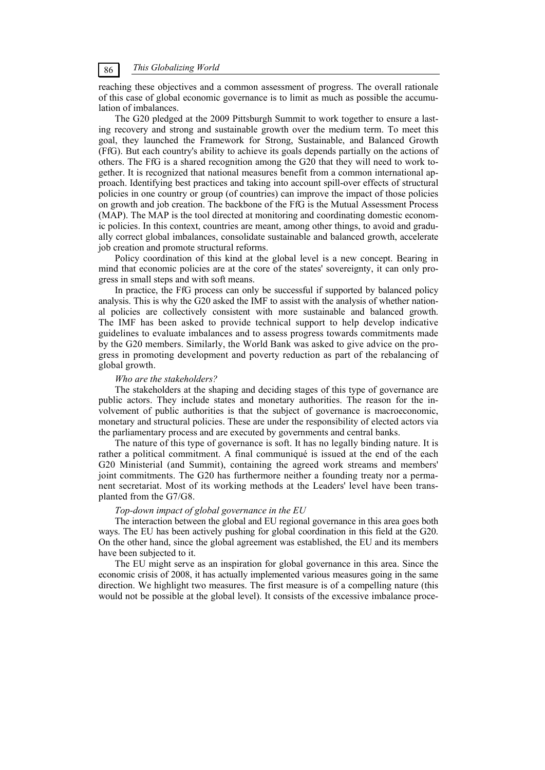reaching these objectives and a common assessment of progress. The overall rationale of this case of global economic governance is to limit as much as possible the accumulation of imbalances.

The G20 pledged at the 2009 Pittsburgh Summit to work together to ensure a lasting recovery and strong and sustainable growth over the medium term. To meet this goal, they launched the Framework for Strong, Sustainable, and Balanced Growth (FfG). But each country's ability to achieve its goals depends partially on the actions of others. The FfG is a shared recognition among the G20 that they will need to work together. It is recognized that national measures benefit from a common international approach. Identifying best practices and taking into account spill-over effects of structural policies in one country or group (of countries) can improve the impact of those policies on growth and job creation. The backbone of the FfG is the Mutual Assessment Process (MAP). The MAP is the tool directed at monitoring and coordinating domestic economic policies. In this context, countries are meant, among other things, to avoid and gradually correct global imbalances, consolidate sustainable and balanced growth, accelerate job creation and promote structural reforms.

Policy coordination of this kind at the global level is a new concept. Bearing in mind that economic policies are at the core of the states' sovereignty, it can only progress in small steps and with soft means.

In practice, the FfG process can only be successful if supported by balanced policy analysis. This is why the G20 asked the IMF to assist with the analysis of whether national policies are collectively consistent with more sustainable and balanced growth. The IMF has been asked to provide technical support to help develop indicative guidelines to evaluate imbalances and to assess progress towards commitments made by the G20 members. Similarly, the World Bank was asked to give advice on the progress in promoting development and poverty reduction as part of the rebalancing of global growth.

#### *Who are the stakeholders?*

The stakeholders at the shaping and deciding stages of this type of governance are public actors. They include states and monetary authorities. The reason for the involvement of public authorities is that the subject of governance is macroeconomic, monetary and structural policies. These are under the responsibility of elected actors via the parliamentary process and are executed by governments and central banks.

The nature of this type of governance is soft. It has no legally binding nature. It is rather a political commitment. A final communiqué is issued at the end of the each G20 Ministerial (and Summit), containing the agreed work streams and members' joint commitments. The G20 has furthermore neither a founding treaty nor a permanent secretariat. Most of its working methods at the Leaders' level have been transplanted from the G7/G8.

### *Top-down impact of global governance in the EU*

The interaction between the global and EU regional governance in this area goes both ways. The EU has been actively pushing for global coordination in this field at the G20. On the other hand, since the global agreement was established, the EU and its members have been subjected to it.

The EU might serve as an inspiration for global governance in this area. Since the economic crisis of 2008, it has actually implemented various measures going in the same direction. We highlight two measures. The first measure is of a compelling nature (this would not be possible at the global level). It consists of the excessive imbalance proce-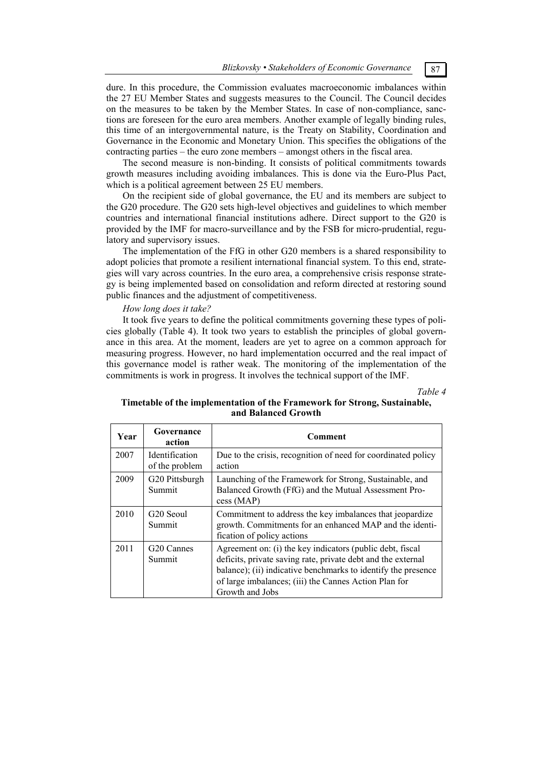dure. In this procedure, the Commission evaluates macroeconomic imbalances within the 27 EU Member States and suggests measures to the Council. The Council decides on the measures to be taken by the Member States. In case of non-compliance, sanctions are foreseen for the euro area members. Another example of legally binding rules, this time of an intergovernmental nature, is the Treaty on Stability, Coordination and Governance in the Economic and Monetary Union. This specifies the obligations of the contracting parties – the euro zone members – amongst others in the fiscal area.

The second measure is non-binding. It consists of political commitments towards growth measures including avoiding imbalances. This is done via the Euro-Plus Pact, which is a political agreement between 25 EU members.

On the recipient side of global governance, the EU and its members are subject to the G20 procedure. The G20 sets high-level objectives and guidelines to which member countries and international financial institutions adhere. Direct support to the G20 is provided by the IMF for macro-surveillance and by the FSB for micro-prudential, regulatory and supervisory issues.

The implementation of the FfG in other G20 members is a shared responsibility to adopt policies that promote a resilient international financial system. To this end, strategies will vary across countries. In the euro area, a comprehensive crisis response strategy is being implemented based on consolidation and reform directed at restoring sound public finances and the adjustment of competitiveness.

### *How long does it take?*

It took five years to define the political commitments governing these types of policies globally (Table 4). It took two years to establish the principles of global governance in this area. At the moment, leaders are yet to agree on a common approach for measuring progress. However, no hard implementation occurred and the real impact of this governance model is rather weak. The monitoring of the implementation of the commitments is work in progress. It involves the technical support of the IMF.

*Table 4* 

# **Timetable of the implementation of the Framework for Strong, Sustainable, and Balanced Growth**

| Year | Governance<br>action                    | Comment                                                                                                                                                                                                                                                                |
|------|-----------------------------------------|------------------------------------------------------------------------------------------------------------------------------------------------------------------------------------------------------------------------------------------------------------------------|
| 2007 | <b>Identification</b><br>of the problem | Due to the crisis, recognition of need for coordinated policy<br>action                                                                                                                                                                                                |
| 2009 | G20 Pittsburgh<br>Summit                | Launching of the Framework for Strong, Sustainable, and<br>Balanced Growth (FfG) and the Mutual Assessment Pro-<br>cess (MAP)                                                                                                                                          |
| 2010 | G <sub>20</sub> Seoul<br>Summit         | Commitment to address the key imbalances that jeopardize<br>growth. Commitments for an enhanced MAP and the identi-<br>fication of policy actions                                                                                                                      |
| 2011 | G <sub>20</sub> Cannes<br>Summit        | Agreement on: (i) the key indicators (public debt, fiscal<br>deficits, private saving rate, private debt and the external<br>balance); (ii) indicative benchmarks to identify the presence<br>of large imbalances; (iii) the Cannes Action Plan for<br>Growth and Jobs |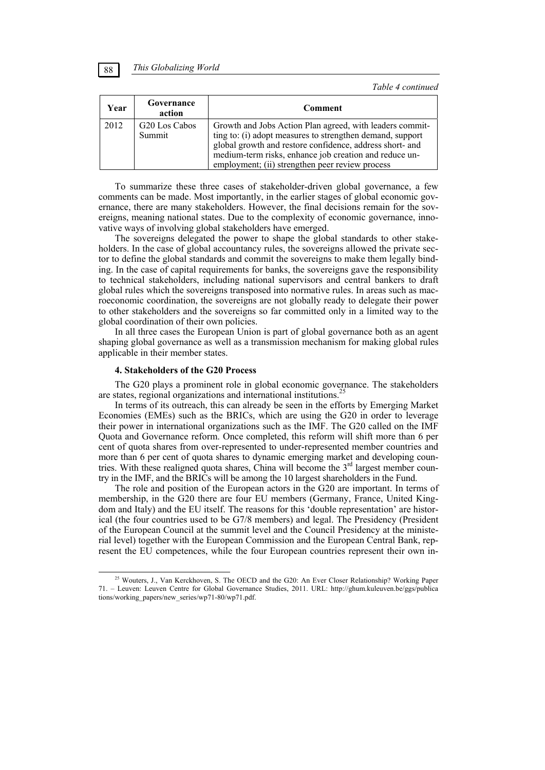*Table 4 continued* 

| Year | Governance<br>action    | <b>Comment</b>                                                                                                                                                                                                                                                                                 |
|------|-------------------------|------------------------------------------------------------------------------------------------------------------------------------------------------------------------------------------------------------------------------------------------------------------------------------------------|
| 2012 | G20 Los Cabos<br>Summit | Growth and Jobs Action Plan agreed, with leaders commit-<br>ting to: (i) adopt measures to strengthen demand, support<br>global growth and restore confidence, address short- and<br>medium-term risks, enhance job creation and reduce un-<br>employment; (ii) strengthen peer review process |

To summarize these three cases of stakeholder-driven global governance, a few comments can be made. Most importantly, in the earlier stages of global economic governance, there are many stakeholders. However, the final decisions remain for the sovereigns, meaning national states. Due to the complexity of economic governance, innovative ways of involving global stakeholders have emerged.

The sovereigns delegated the power to shape the global standards to other stakeholders. In the case of global accountancy rules, the sovereigns allowed the private sector to define the global standards and commit the sovereigns to make them legally binding. In the case of capital requirements for banks, the sovereigns gave the responsibility to technical stakeholders, including national supervisors and central bankers to draft global rules which the sovereigns transposed into normative rules. In areas such as macroeconomic coordination, the sovereigns are not globally ready to delegate their power to other stakeholders and the sovereigns so far committed only in a limited way to the global coordination of their own policies.

In all three cases the European Union is part of global governance both as an agent shaping global governance as well as a transmission mechanism for making global rules applicable in their member states.

#### **4. Stakeholders of the G20 Process**

The G20 plays a prominent role in global economic governance. The stakeholders are states, regional organizations and international institutions.<sup>25</sup>

In terms of its outreach, this can already be seen in the efforts by Emerging Market Economies (EMEs) such as the BRICs, which are using the G20 in order to leverage their power in international organizations such as the IMF. The G20 called on the IMF Quota and Governance reform. Once completed, this reform will shift more than 6 per cent of quota shares from over-represented to under-represented member countries and more than 6 per cent of quota shares to dynamic emerging market and developing countries. With these realigned quota shares, China will become the  $3<sup>rd</sup>$  largest member country in the IMF, and the BRICs will be among the 10 largest shareholders in the Fund.

The role and position of the European actors in the G20 are important. In terms of membership, in the G20 there are four EU members (Germany, France, United Kingdom and Italy) and the EU itself. The reasons for this 'double representation' are historical (the four countries used to be G7/8 members) and legal. The Presidency (President of the European Council at the summit level and the Council Presidency at the ministerial level) together with the European Commission and the European Central Bank, represent the EU competences, while the four European countries represent their own in-

<sup>&</sup>lt;sup>25</sup> Wouters, J., Van Kerckhoven, S. The OECD and the G20: An Ever Closer Relationship? Working Paper 71. – Leuven: Leuven Centre for Global Governance Studies, 2011. URL: http://ghum.kuleuven.be/ggs/publica tions/working\_papers/new\_series/wp71-80/wp71.pdf.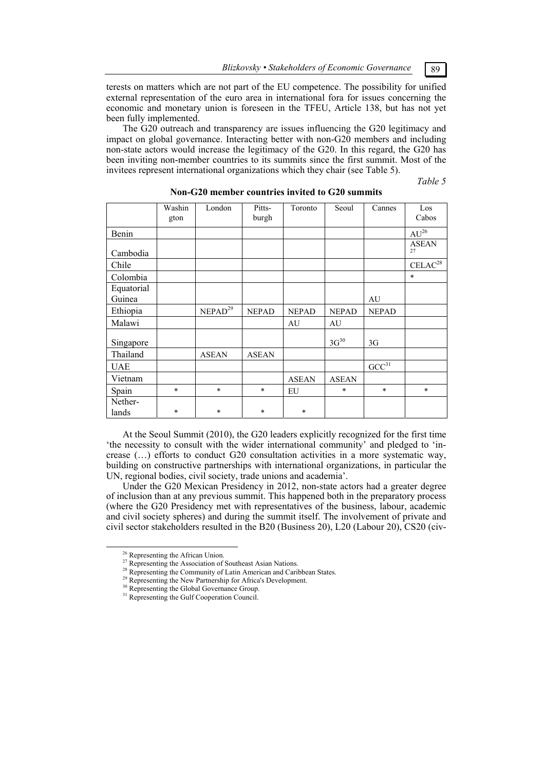terests on matters which are not part of the EU competence. The possibility for unified external representation of the euro area in international fora for issues concerning the economic and monetary union is foreseen in the TFEU, Article 138, but has not yet been fully implemented.

The G20 outreach and transparency are issues influencing the G20 legitimacy and impact on global governance. Interacting better with non-G20 members and including non-state actors would increase the legitimacy of the G20. In this regard, the G20 has been inviting non-member countries to its summits since the first summit. Most of the invitees represent international organizations which they chair (see Table 5).

*Table 5* 

|                      | Washin<br>gton | London              | Pitts-<br>burgh | Toronto      | Seoul        | Cannes              | Los<br>Cabos               |
|----------------------|----------------|---------------------|-----------------|--------------|--------------|---------------------|----------------------------|
| Benin                |                |                     |                 |              |              |                     | $AU^{26}$                  |
| Cambodia             |                |                     |                 |              |              |                     | <b>ASEAN</b><br>27         |
| Chile                |                |                     |                 |              |              |                     | $\text{CELAC}^{\text{28}}$ |
| Colombia             |                |                     |                 |              |              |                     | $\ast$                     |
| Equatorial<br>Guinea |                |                     |                 |              |              | AU                  |                            |
| Ethiopia             |                | NEPAD <sup>29</sup> | <b>NEPAD</b>    | <b>NEPAD</b> | <b>NEPAD</b> | <b>NEPAD</b>        |                            |
| Malawi               |                |                     |                 | AU           | AU           |                     |                            |
| Singapore            |                |                     |                 |              | $3G^{30}$    | 3G                  |                            |
| Thailand             |                | <b>ASEAN</b>        | <b>ASEAN</b>    |              |              |                     |                            |
| <b>UAE</b>           |                |                     |                 |              |              | $\mathrm{GCC}^{31}$ |                            |
| Vietnam              |                |                     |                 | <b>ASEAN</b> | <b>ASEAN</b> |                     |                            |
| Spain                | $\ast$         | $\ast$              | $\ast$          | EU           | $\ast$       | $\ast$              | $\ast$                     |
| Nether-              |                |                     |                 |              |              |                     |                            |
| lands                | $\ast$         | $\ast$              | $\ast$          | *            |              |                     |                            |

## **Non-G20 member countries invited to G20 summits**

At the Seoul Summit (2010), the G20 leaders explicitly recognized for the first time 'the necessity to consult with the wider international community' and pledged to 'increase (…) efforts to conduct G20 consultation activities in a more systematic way, building on constructive partnerships with international organizations, in particular the UN, regional bodies, civil society, trade unions and academia'.

Under the G20 Mexican Presidency in 2012, non-state actors had a greater degree of inclusion than at any previous summit. This happened both in the preparatory process (where the G20 Presidency met with representatives of the business, labour, academic and civil society spheres) and during the summit itself. The involvement of private and civil sector stakeholders resulted in the B20 (Business 20), L20 (Labour 20), CS20 (civ-

<sup>&</sup>lt;sup>26</sup> Representing the African Union.

<sup>&</sup>lt;sup>27</sup> Representing the Association of Southeast Asian Nations.

<sup>&</sup>lt;sup>28</sup> Representing the Community of Latin American and Caribbean States.

<sup>&</sup>lt;sup>29</sup> Representing the New Partnership for Africa's Development.<sup>30</sup> Representing the Global Governance Group.

<sup>&</sup>lt;sup>31</sup> Representing the Gulf Cooperation Council.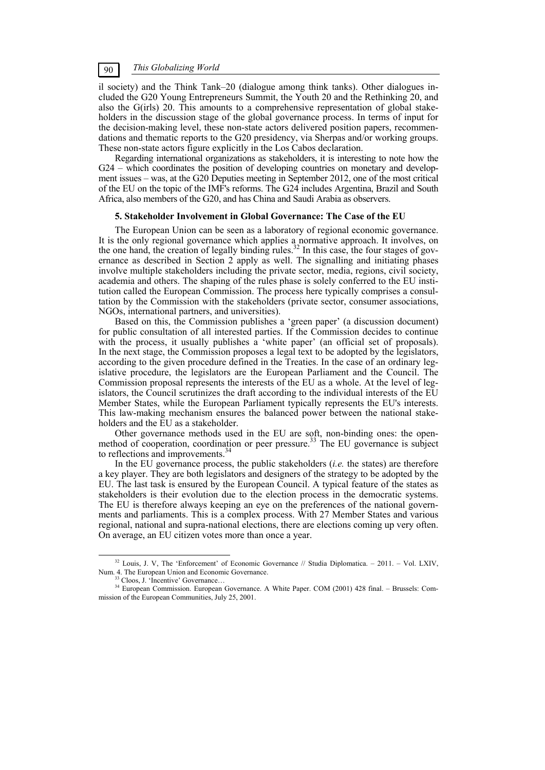il society) and the Think Tank–20 (dialogue among think tanks). Other dialogues included the G20 Young Entrepreneurs Summit, the Youth 20 and the Rethinking 20, and also the G(irls) 20. This amounts to a comprehensive representation of global stakeholders in the discussion stage of the global governance process. In terms of input for the decision-making level, these non-state actors delivered position papers, recommendations and thematic reports to the G20 presidency, via Sherpas and/or working groups. These non-state actors figure explicitly in the Los Cabos declaration.

Regarding international organizations as stakeholders, it is interesting to note how the G24 – which coordinates the position of developing countries on monetary and development issues – was, at the G20 Deputies meeting in September 2012, one of the most critical of the EU on the topic of the IMF's reforms. The G24 includes Argentina, Brazil and South Africa, also members of the G20, and has China and Saudi Arabia as observers.

## **5. Stakeholder Involvement in Global Governance: The Case of the EU**

The European Union can be seen as a laboratory of regional economic governance. It is the only regional governance which applies a normative approach. It involves, on the one hand, the creation of legally binding rules.<sup>32</sup> In this case, the four stages of governance as described in Section 2 apply as well. The signalling and initiating phases involve multiple stakeholders including the private sector, media, regions, civil society, academia and others. The shaping of the rules phase is solely conferred to the EU institution called the European Commission. The process here typically comprises a consultation by the Commission with the stakeholders (private sector, consumer associations, NGOs, international partners, and universities).

Based on this, the Commission publishes a 'green paper' (a discussion document) for public consultation of all interested parties. If the Commission decides to continue with the process, it usually publishes a 'white paper' (an official set of proposals). In the next stage, the Commission proposes a legal text to be adopted by the legislators, according to the given procedure defined in the Treaties. In the case of an ordinary legislative procedure, the legislators are the European Parliament and the Council. The Commission proposal represents the interests of the EU as a whole. At the level of legislators, the Council scrutinizes the draft according to the individual interests of the EU Member States, while the European Parliament typically represents the EU's interests. This law-making mechanism ensures the balanced power between the national stakeholders and the EU as a stakeholder.

Other governance methods used in the EU are soft, non-binding ones: the openmethod of cooperation, coordination or peer pressure.<sup>33</sup> The EU governance is subject to reflections and improvements.<sup>3</sup>

In the EU governance process, the public stakeholders (*i.e.* the states) are therefore a key player. They are both legislators and designers of the strategy to be adopted by the EU. The last task is ensured by the European Council. A typical feature of the states as stakeholders is their evolution due to the election process in the democratic systems. The EU is therefore always keeping an eye on the preferences of the national governments and parliaments. This is a complex process. With 27 Member States and various regional, national and supra-national elections, there are elections coming up very often. On average, an EU citizen votes more than once a year.

<sup>&</sup>lt;sup>32</sup> Louis, J. V, The 'Enforcement' of Economic Governance // Studia Diplomatica. – 2011. – Vol. LXIV, Num. 4. The European Union and Economic Governance. <sup>33</sup> Cloos, J. 'Incentive' Governance...

<sup>&</sup>lt;sup>34</sup> European Commission. European Governance. A White Paper. COM (2001) 428 final. – Brussels: Commission of the European Communities, July 25, 2001.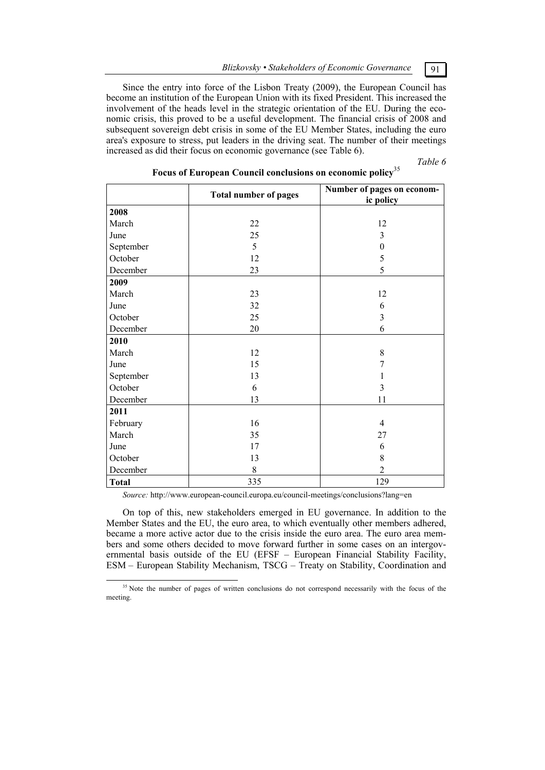Since the entry into force of the Lisbon Treaty (2009), the European Council has become an institution of the European Union with its fixed President. This increased the involvement of the heads level in the strategic orientation of the EU. During the economic crisis, this proved to be a useful development. The financial crisis of 2008 and subsequent sovereign debt crisis in some of the EU Member States, including the euro area's exposure to stress, put leaders in the driving seat. The number of their meetings increased as did their focus on economic governance (see Table 6).

*Table 6* 

|              | <b>Total number of pages</b> | Number of pages on econom-<br>ic policy |
|--------------|------------------------------|-----------------------------------------|
| 2008         |                              |                                         |
| March        | 22                           | 12                                      |
| June         | 25                           | 3                                       |
| September    | 5                            | $\theta$                                |
| October      | 12                           | 5                                       |
| December     | 23                           | 5                                       |
| 2009         |                              |                                         |
| March        | 23                           | 12                                      |
| June         | 32                           | 6                                       |
| October      | 25                           | 3                                       |
| December     | 20                           | 6                                       |
| 2010         |                              |                                         |
| March        | 12                           | 8                                       |
| June         | 15                           | 7                                       |
| September    | 13                           | L                                       |
| October      | 6                            | 3                                       |
| December     | 13                           | 11                                      |
| 2011         |                              |                                         |
| February     | 16                           | $\overline{4}$                          |
| March        | 35                           | 27                                      |
| June         | 17                           | 6                                       |
| October      | 13                           | 8                                       |
| December     | $8\,$                        | 2                                       |
| <b>Total</b> | 335                          | 129                                     |

# **Focus of European Council conclusions on economic policy**<sup>35</sup>

*Source:* http://www.european-council.europa.eu/council-meetings/conclusions?lang=en

On top of this, new stakeholders emerged in EU governance. In addition to the Member States and the EU, the euro area, to which eventually other members adhered, became a more active actor due to the crisis inside the euro area. The euro area members and some others decided to move forward further in some cases on an intergovernmental basis outside of the EU (EFSF – European Financial Stability Facility, ESM – European Stability Mechanism, TSCG – Treaty on Stability, Coordination and



<sup>&</sup>lt;sup>35</sup> Note the number of pages of written conclusions do not correspond necessarily with the focus of the meeting.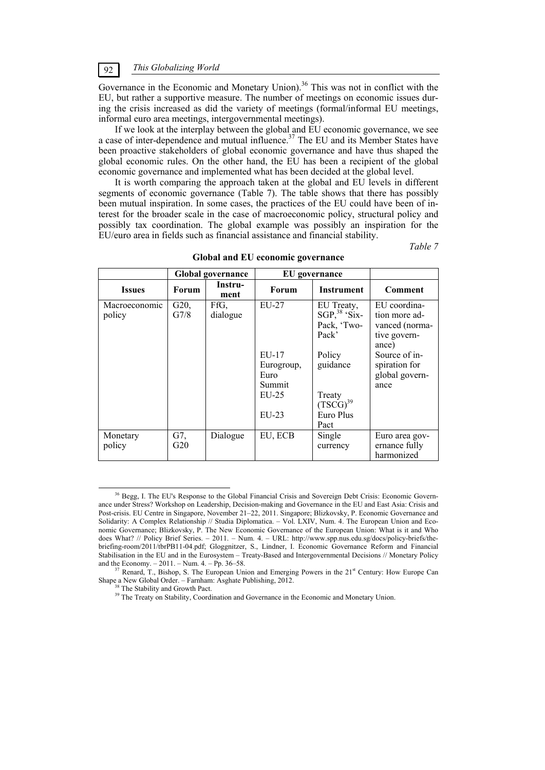Governance in the Economic and Monetary Union).<sup>36</sup> This was not in conflict with the EU, but rather a supportive measure. The number of meetings on economic issues during the crisis increased as did the variety of meetings (formal/informal EU meetings, informal euro area meetings, intergovernmental meetings).

If we look at the interplay between the global and EU economic governance, we see a case of inter-dependence and mutual influence.<sup>37</sup> The EU and its Member States have been proactive stakeholders of global economic governance and have thus shaped the global economic rules. On the other hand, the EU has been a recipient of the global economic governance and implemented what has been decided at the global level.

It is worth comparing the approach taken at the global and EU levels in different segments of economic governance (Table 7). The table shows that there has possibly been mutual inspiration. In some cases, the practices of the EU could have been of interest for the broader scale in the case of macroeconomic policy, structural policy and possibly tax coordination. The global example was possibly an inspiration for the EU/euro area in fields such as financial assistance and financial stability.

*Table 7* 

|                         | <b>Global governance</b> |                  | EU governance                                                          |                                                                                                                        |                                                                                                                                      |
|-------------------------|--------------------------|------------------|------------------------------------------------------------------------|------------------------------------------------------------------------------------------------------------------------|--------------------------------------------------------------------------------------------------------------------------------------|
| <b>Issues</b>           | Forum                    | Instru-<br>ment  | Forum                                                                  | <b>Instrument</b>                                                                                                      | Comment                                                                                                                              |
| Macroeconomic<br>policy | G20,<br>G7/8             | FfG,<br>dialogue | EU-27<br>$EU-17$<br>Eurogroup,<br>Euro<br>Summit<br>$EU-25$<br>$EU-23$ | EU Treaty,<br>$SGP, ^{38}$ 'Six-<br>Pack, 'Two-<br>Pack'<br>Policy<br>guidance<br>Treaty<br>$(TSCG)^{39}$<br>Euro Plus | EU coordina-<br>tion more ad-<br>vanced (norma-<br>tive govern-<br>ance)<br>Source of in-<br>spiration for<br>global govern-<br>ance |
| Monetary<br>policy      | G7,<br>G20               | Dialogue         | EU, ECB                                                                | Pact<br>Single<br>currency                                                                                             | Euro area gov-<br>ernance fully<br>harmonized                                                                                        |

**Global and EU economic governance** 

<sup>&</sup>lt;sup>36</sup> Begg, I. The EU's Response to the Global Financial Crisis and Sovereign Debt Crisis: Economic Governance under Stress? Workshop on Leadership, Decision-making and Governance in the EU and East Asia: Crisis and Post-crisis. EU Centre in Singapore, November 21–22, 2011. Singapore; Blizkovsky, P. Economic Governance and Solidarity: A Complex Relationship // Studia Diplomatica. – Vol. LXIV, Num. 4. The European Union and Economic Governance; Blizkovsky, P. The New Economic Governance of the European Union: What is it and Who does What? // Policy Brief Series. – 2011. – Num. 4. – URL: http://www.spp.nus.edu.sg/docs/policy-briefs/thebriefing-room/2011/tbrPB11-04.pdf; Gloggnitzer, S., Lindner, I. Economic Governance Reform and Financial Stabilisation in the EU and in the Eurosystem – Treaty-Based and Intergovernmental Decisions // Monetary Policy and the Economy. – 2011. – Num. 4. – Pp. 36–58.<br><sup>37</sup> Renard, T., Bishop, S. The European Union and Emerging Powers in the 21<sup>st</sup> Century: How Europe Can

Shape a New Global Order. – Farnham: Asghate Publishing, 2012.<br><sup>38</sup> The Stability and Growth Pact.

<sup>&</sup>lt;sup>39</sup> The Treaty on Stability, Coordination and Governance in the Economic and Monetary Union.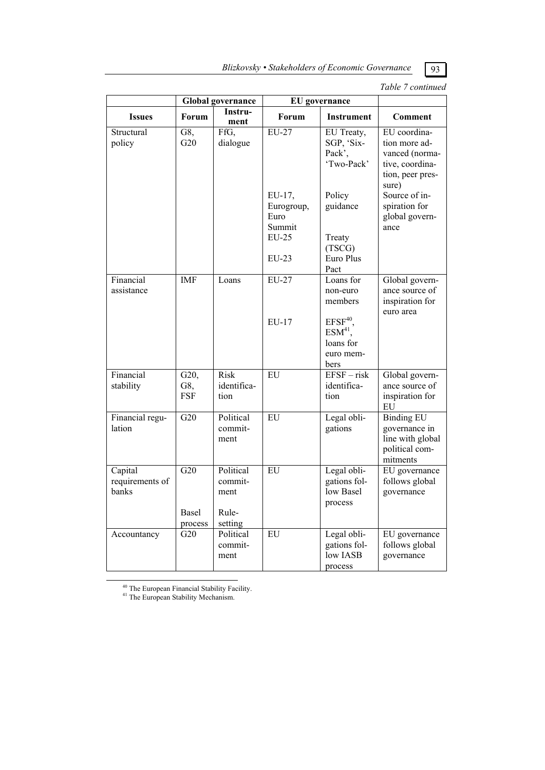|                                     |                           |                                                  |                                                        |                                                                    | <i>Lable / continued</i>                                                                        |  |
|-------------------------------------|---------------------------|--------------------------------------------------|--------------------------------------------------------|--------------------------------------------------------------------|-------------------------------------------------------------------------------------------------|--|
|                                     | <b>Global</b> governance  |                                                  | <b>EU</b> governance                                   |                                                                    |                                                                                                 |  |
| <b>Issues</b>                       | Forum                     | Instru-<br>ment                                  | Forum                                                  | <b>Instrument</b>                                                  | <b>Comment</b>                                                                                  |  |
| Structural<br>policy                | G8,<br>G20                | FfG,<br>dialogue                                 | EU-27                                                  | EU Treaty,<br>SGP, 'Six-<br>Pack'.<br>'Two-Pack'                   | EU coordina-<br>tion more ad-<br>vanced (norma-<br>tive, coordina-<br>tion, peer pres-<br>sure) |  |
|                                     |                           |                                                  | EU-17,<br>Eurogroup,<br>Euro<br>Summit<br><b>EU-25</b> | Policy<br>guidance<br>Treaty<br>(TSCG)                             | Source of in-<br>spiration for<br>global govern-<br>ance                                        |  |
|                                     |                           |                                                  | $EU-23$                                                | Euro Plus<br>Pact                                                  |                                                                                                 |  |
| Financial<br>assistance             | <b>IMF</b>                | Loans                                            | EU-27                                                  | Loans for<br>non-euro<br>members                                   | Global govern-<br>ance source of<br>inspiration for<br>euro area                                |  |
|                                     |                           |                                                  | EU-17                                                  | $EFSF^{40}$<br>ESM <sup>41</sup><br>loans for<br>euro mem-<br>bers |                                                                                                 |  |
| Financial<br>stability              | G20,<br>G8,<br><b>FSF</b> | <b>Risk</b><br>identifica-<br>tion               | <b>EU</b>                                              | $EFSF - risk$<br>identifica-<br>tion                               | Global govern-<br>ance source of<br>inspiration for<br>EU                                       |  |
| Financial regu-<br>lation           | $\overline{G20}$          | Political<br>commit-<br>ment                     | <b>EU</b>                                              | Legal obli-<br>gations                                             | <b>Binding EU</b><br>governance in<br>line with global<br>political com-<br>mitments            |  |
| Capital<br>requirements of<br>banks | G20<br>Basel<br>process   | Political<br>commit-<br>ment<br>Rule-<br>setting | EU                                                     | Legal obli-<br>gations fol-<br>low Basel<br>process                | EU governance<br>follows global<br>governance                                                   |  |
| Accountancy                         | G20                       | Political<br>commit-<br>ment                     | EU                                                     | Legal obli-<br>gations fol-<br>low IASB                            | EU governance<br>follows global<br>governance                                                   |  |

process

*Table 7 continued* 

40 The European Financial Stability Facility.

<sup>41</sup> The European Stability Mechanism.